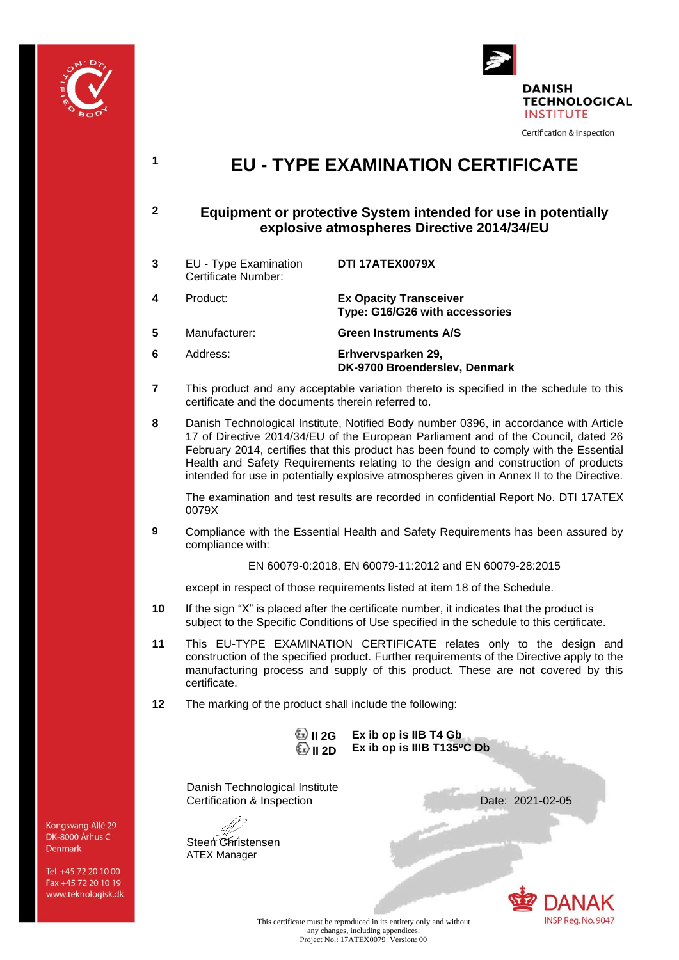



# **<sup>1</sup> EU - TYPE EXAMINATION CERTIFICATE**

# **2 Equipment or protective System intended for use in potentially explosive atmospheres Directive 2014/34/EU**

**3** EU - Type Examination Certificate Number: **DTI 17ATEX0079X 4** Product: **Ex Opacity Transceiver Type: G16/G26 with accessories 5** Manufacturer: **Green Instruments A/S**

**6** Address: **Erhvervsparken 29, DK-9700 Broenderslev, Denmark**

- **7** This product and any acceptable variation thereto is specified in the schedule to this certificate and the documents therein referred to.
- **8** Danish Technological Institute, Notified Body number 0396, in accordance with Article 17 of Directive 2014/34/EU of the European Parliament and of the Council, dated 26 February 2014, certifies that this product has been found to comply with the Essential Health and Safety Requirements relating to the design and construction of products intended for use in potentially explosive atmospheres given in Annex II to the Directive.

The examination and test results are recorded in confidential Report No. DTI 17ATEX 0079X

**9** Compliance with the Essential Health and Safety Requirements has been assured by compliance with:

EN 60079-0:2018, EN 60079-11:2012 and EN 60079-28:2015

except in respect of those requirements listed at item 18 of the Schedule.

- **10** If the sign "X" is placed after the certificate number, it indicates that the product is subject to the Specific Conditions of Use specified in the schedule to this certificate.
- **11** This EU-TYPE EXAMINATION CERTIFICATE relates only to the design and construction of the specified product. Further requirements of the Directive apply to the manufacturing process and supply of this product. These are not covered by this certificate.
- **12** The marking of the product shall include the following:

**II 2G II 2D Ex ib op is IIB T4 Gb Ex ib op is IIIB T135<sup>o</sup>C Db** Danish Technological Institute Certification & Inspection **Date: 2021-02-05** Steen Christensen ATEX Manager

**INSP Reg. No. 9047** 

Kongsvang Allé 29 DK-8000 Århus C Denmark

Tel. +45 72 20 10 00 Fax +45 72 20 10 19 www.teknologisk.dk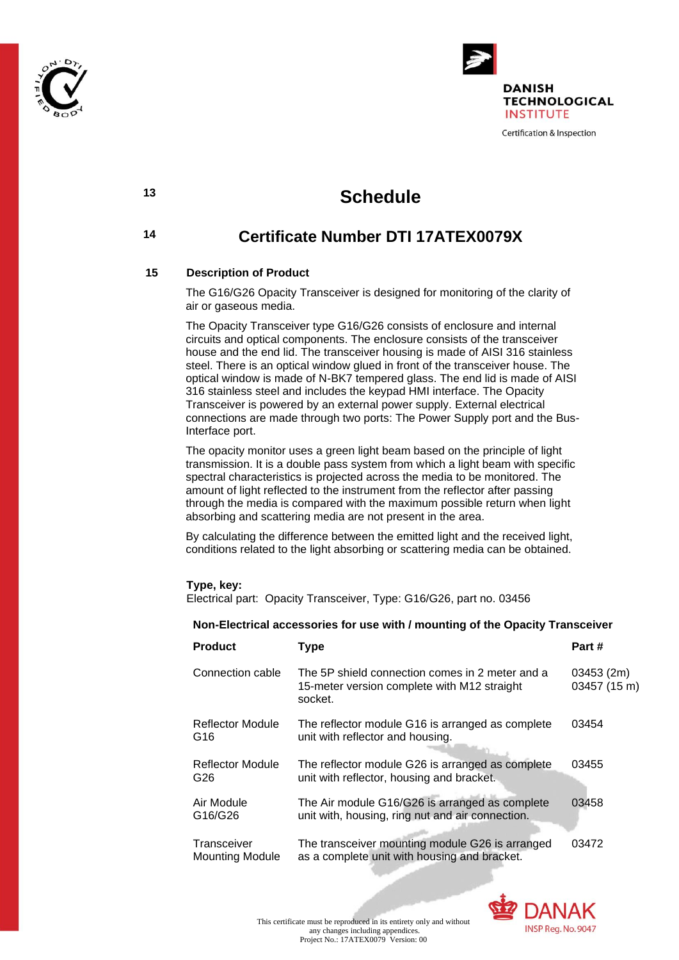



# **<sup>13</sup> Schedule**

# **<sup>14</sup> Certificate Number DTI 17ATEX0079X**

# **15 Description of Product**

The G16/G26 Opacity Transceiver is designed for monitoring of the clarity of air or gaseous media.

The Opacity Transceiver type G16/G26 consists of enclosure and internal circuits and optical components. The enclosure consists of the transceiver house and the end lid. The transceiver housing is made of AISI 316 stainless steel. There is an optical window glued in front of the transceiver house. The optical window is made of N-BK7 tempered glass. The end lid is made of AISI 316 stainless steel and includes the keypad HMI interface. The Opacity Transceiver is powered by an external power supply. External electrical connections are made through two ports: The Power Supply port and the Bus-Interface port.

The opacity monitor uses a green light beam based on the principle of light transmission. It is a double pass system from which a light beam with specific spectral characteristics is projected across the media to be monitored. The amount of light reflected to the instrument from the reflector after passing through the media is compared with the maximum possible return when light absorbing and scattering media are not present in the area.

By calculating the difference between the emitted light and the received light, conditions related to the light absorbing or scattering media can be obtained.

#### **Type, key:**

Electrical part:Opacity Transceiver, Type: G16/G26, part no. 03456

#### **Non-Electrical accessories for use with / mounting of the Opacity Transceiver**

| <b>Product</b>                        | Type                                                                                                      | Part #                     |
|---------------------------------------|-----------------------------------------------------------------------------------------------------------|----------------------------|
| Connection cable                      | The 5P shield connection comes in 2 meter and a<br>15-meter version complete with M12 straight<br>socket. | 03453 (2m)<br>03457 (15 m) |
| Reflector Module<br>G <sub>16</sub>   | The reflector module G16 is arranged as complete<br>unit with reflector and housing.                      | 03454                      |
| Reflector Module<br>G26               | The reflector module G26 is arranged as complete<br>unit with reflector, housing and bracket.             | 03455                      |
| Air Module<br>G16/G26                 | The Air module G16/G26 is arranged as complete<br>unit with, housing, ring nut and air connection.        | 03458                      |
| Transceiver<br><b>Mounting Module</b> | The transceiver mounting module G26 is arranged<br>as a complete unit with housing and bracket.           | 03472                      |

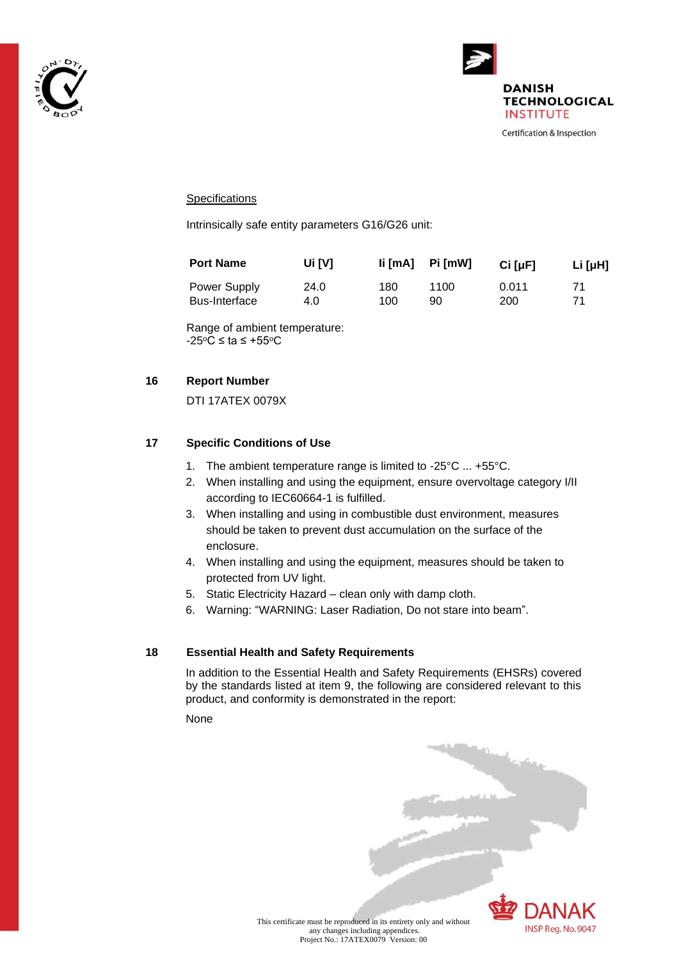



### **Specifications**

Intrinsically safe entity parameters G16/G26 unit:

| <b>Port Name</b>     | Ui [V] | $\text{li}\,[\text{mA}]$ Pi $\,[\text{mW}]$ |      | $Ci$ [ $\mu$ F] | Li [ $\mu$ H] |
|----------------------|--------|---------------------------------------------|------|-----------------|---------------|
| <b>Power Supply</b>  | 24.0   | 180                                         | 1100 | 0.011           | 71            |
| <b>Bus-Interface</b> | 4.0    | 100                                         | 90   | 200             |               |

Range of ambient temperature:  $-25^{\circ}$ C ≤ ta ≤ +55 $^{\circ}$ C

### **16 Report Number**

DTI 17ATEX 0079X

## **17 Specific Conditions of Use**

- 1. The ambient temperature range is limited to -25°C ... +55°C.
- 2. When installing and using the equipment, ensure overvoltage category I/II according to IEC60664-1 is fulfilled.
- 3. When installing and using in combustible dust environment, measures should be taken to prevent dust accumulation on the surface of the enclosure.
- 4. When installing and using the equipment, measures should be taken to protected from UV light.
- 5. Static Electricity Hazard clean only with damp cloth.
- 6. Warning: "WARNING: Laser Radiation, Do not stare into beam".

#### **18 Essential Health and Safety Requirements**

In addition to the Essential Health and Safety Requirements (EHSRs) covered by the standards listed at item 9, the following are considered relevant to this product, and conformity is demonstrated in the report:

None



This certificate must be reproduced in its entirety only and without any changes including appendices. Project No.: 17ATEX0079 Version: 00